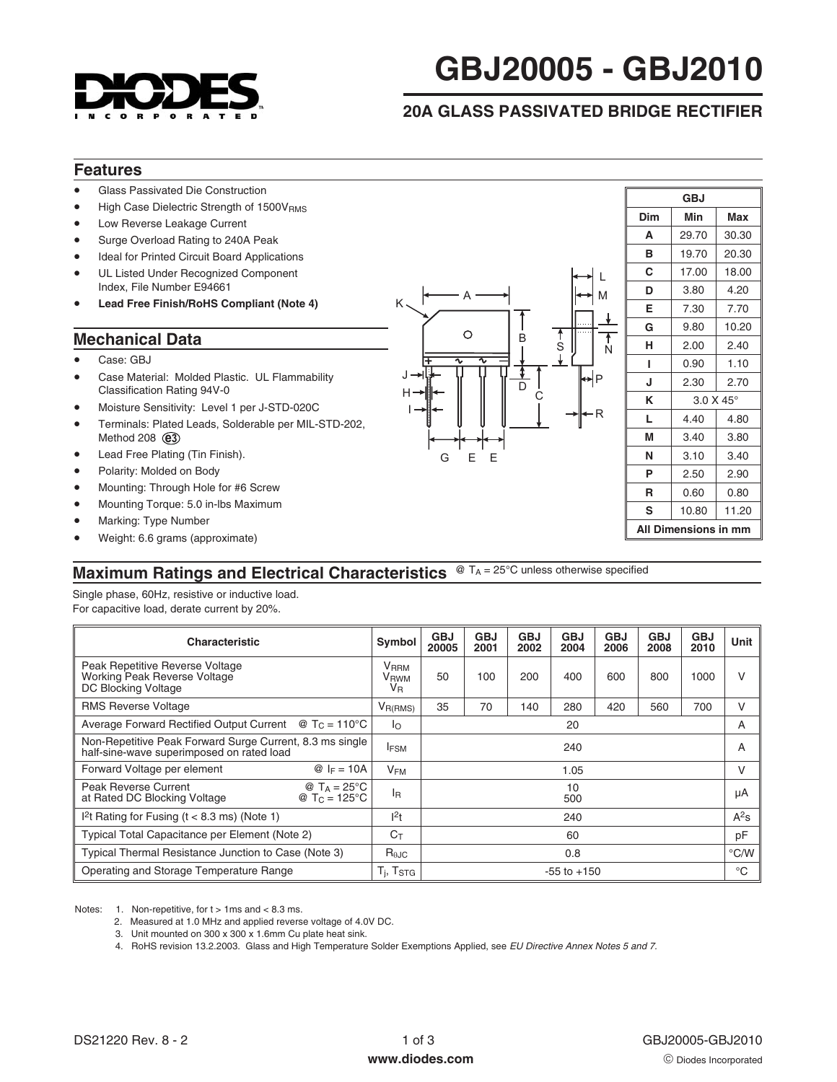

# **GBJ20005 - GBJ2010**

# **20A GLASS PASSIVATED BRIDGE RECTIFIER**

### **Features**

- -Glass Passivated Die Construction
- -High Case Dielectric Strength of 1500VRMS
- -Low Reverse Leakage Current
- -Surge Overload Rating to 240A Peak
- -Ideal for Printed Circuit Board Applications
- - UL Listed Under Recognized Component Index, File Number E94661
- -**Lead Free Finish/RoHS Compliant (Note 4)**

#### **Mechanical Data**

- -Case: GBJ
- - Case Material: Molded Plastic. UL Flammability Classification Rating 94V-0
- -Moisture Sensitivity: Level 1 per J-STD-020C
- **e3** Method 208 -Terminals: Plated Leads, Solderable per MIL-STD-202,
- -Lead Free Plating (Tin Finish).
- -Polarity: Molded on Body
- -Mounting: Through Hole for #6 Screw
- -Mounting Torque: 5.0 in-lbs Maximum
- -Marking: Type Number
- -Weight: 6.6 grams (approximate)



| <b>GBJ</b>           |                       |       |  |  |  |  |
|----------------------|-----------------------|-------|--|--|--|--|
| Dim                  | Min                   | Max   |  |  |  |  |
| A                    | 29.70                 | 30.30 |  |  |  |  |
| в                    | 19.70                 | 20.30 |  |  |  |  |
| C                    | 17.00                 | 18.00 |  |  |  |  |
| D                    | 3.80                  | 4.20  |  |  |  |  |
| E                    | 7.30                  | 7.70  |  |  |  |  |
| G                    | 9.80                  | 10.20 |  |  |  |  |
| н                    | 2.00                  | 2.40  |  |  |  |  |
| ı                    | 0.90                  | 1.10  |  |  |  |  |
| J                    | 2.30                  | 2.70  |  |  |  |  |
| κ                    | $3.0 \times 45^\circ$ |       |  |  |  |  |
| L                    | 4.40                  | 4.80  |  |  |  |  |
| М                    | 3.40                  | 3.80  |  |  |  |  |
| N                    | 3.10                  | 3.40  |  |  |  |  |
| P                    | 2.50                  | 2.90  |  |  |  |  |
| R                    | 0.60                  | 0.80  |  |  |  |  |
| s                    | 10.80                 | 11.20 |  |  |  |  |
| All Dimensions in mm |                       |       |  |  |  |  |

## **Maximum Ratings and Electrical Characteristics** @ TA = 25°C unless otherwise specified

Single phase, 60Hz, resistive or inductive load. For capacitive load, derate current by 20%.

| <b>Characteristic</b>                                                                                               | Symbol                                                                      | <b>GBJ</b><br>20005 | <b>GBJ</b><br>2001 | <b>GBJ</b><br>2002 | <b>GBJ</b><br>2004 | <b>GBJ</b><br>2006 | <b>GBJ</b><br>2008 | <b>GBJ</b><br>2010 | Unit |
|---------------------------------------------------------------------------------------------------------------------|-----------------------------------------------------------------------------|---------------------|--------------------|--------------------|--------------------|--------------------|--------------------|--------------------|------|
| Peak Repetitive Reverse Voltage<br>Working Peak Reverse Voltage<br>DC Blocking Voltage                              | <b>V</b> <sub>RRM</sub><br><b>V</b> <sub>RWM</sub><br><b>V</b> <sub>R</sub> | 50                  | 100                | 200                | 400                | 600                | 800                | 1000               | V    |
| <b>RMS Reverse Voltage</b>                                                                                          | $V_{R(RMS)}$                                                                | 35                  | 70                 | 140                | 280                | 420                | 560                | 700                | V    |
| Average Forward Rectified Output Current $\circledR$ T <sub>C</sub> = 110 <sup>o</sup> C                            | Ιo                                                                          | 20                  |                    |                    |                    |                    | A                  |                    |      |
| Non-Repetitive Peak Forward Surge Current, 8.3 ms single<br>half-sine-wave superimposed on rated load               |                                                                             | 240                 |                    |                    |                    |                    | A                  |                    |      |
| Forward Voltage per element<br>$@ F = 10A$                                                                          |                                                                             | 1.05                |                    |                    |                    |                    | V                  |                    |      |
| @ $T_A = 25^{\circ}C$<br>Peak Reverse Current<br>@ T <sub>C</sub> = $125^{\circ}$ C<br>at Rated DC Blocking Voltage | I <sub>R</sub>                                                              |                     |                    |                    | 10<br>500          |                    |                    |                    | μA   |
| I <sup>2</sup> t Rating for Fusing ( $t < 8.3$ ms) (Note 1)                                                         |                                                                             | 240                 |                    |                    |                    |                    | $A^2s$             |                    |      |
| Typical Total Capacitance per Element (Note 2)                                                                      |                                                                             | 60                  |                    |                    |                    | pF                 |                    |                    |      |
| Typical Thermal Resistance Junction to Case (Note 3)                                                                |                                                                             | 0.8                 |                    |                    |                    |                    | $\degree$ C/W      |                    |      |
| Operating and Storage Temperature Range                                                                             |                                                                             | $-55$ to $+150$     |                    |                    |                    |                    | $^{\circ}$ C       |                    |      |

Notes: 1. Non-repetitive, for  $t > 1$ ms and  $< 8.3$  ms.

2. Measured at 1.0 MHz and applied reverse voltage of 4.0V DC.

3. Unit mounted on 300 x 300 x 1.6mm Cu plate heat sink.

4. RoHS revision 13.2.2003. Glass and High Temperature Solder Exemptions Applied, see [EU Directive Annex Notes 5 and 7.](http://europa.eu.int/eur-lex/pri/en/oj/dat/2003/l_037/l_03720030213en00190023.pdf)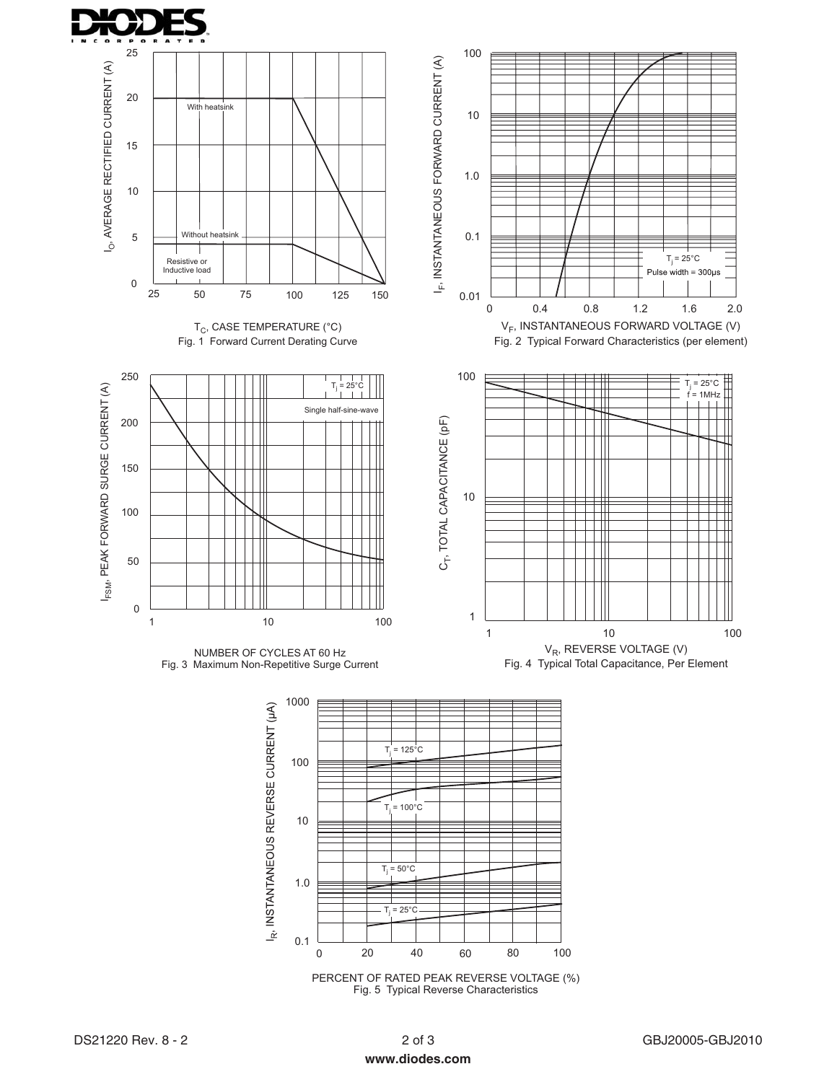



PERCENT OF RATED PEAK REVERSE VOLTAGE (%) Fig.5 Typical Reverse Characteristics